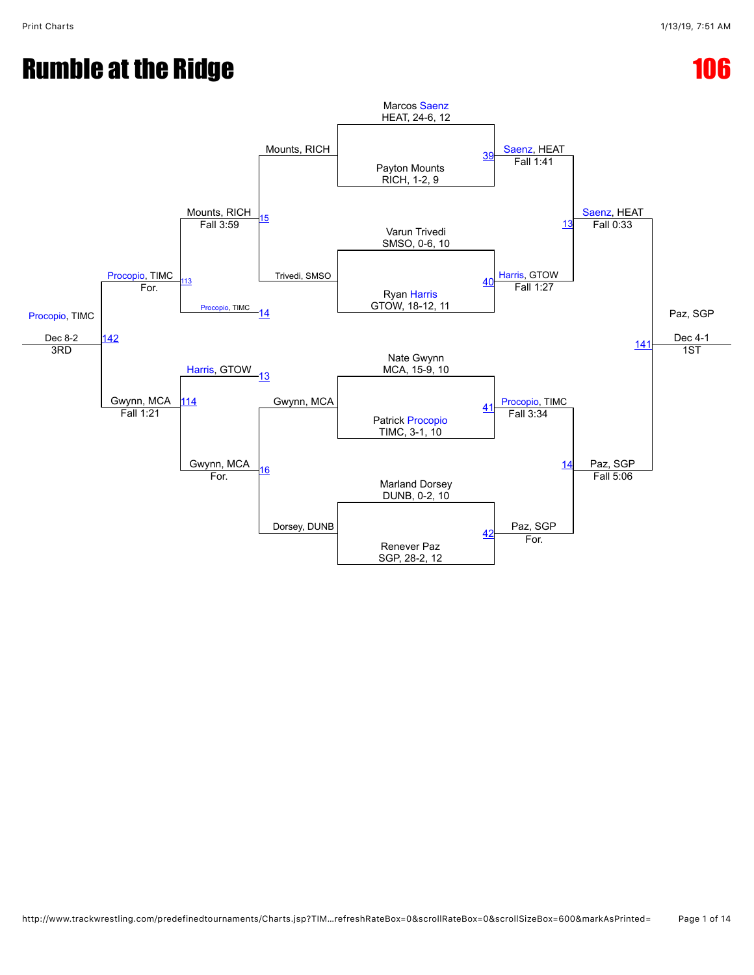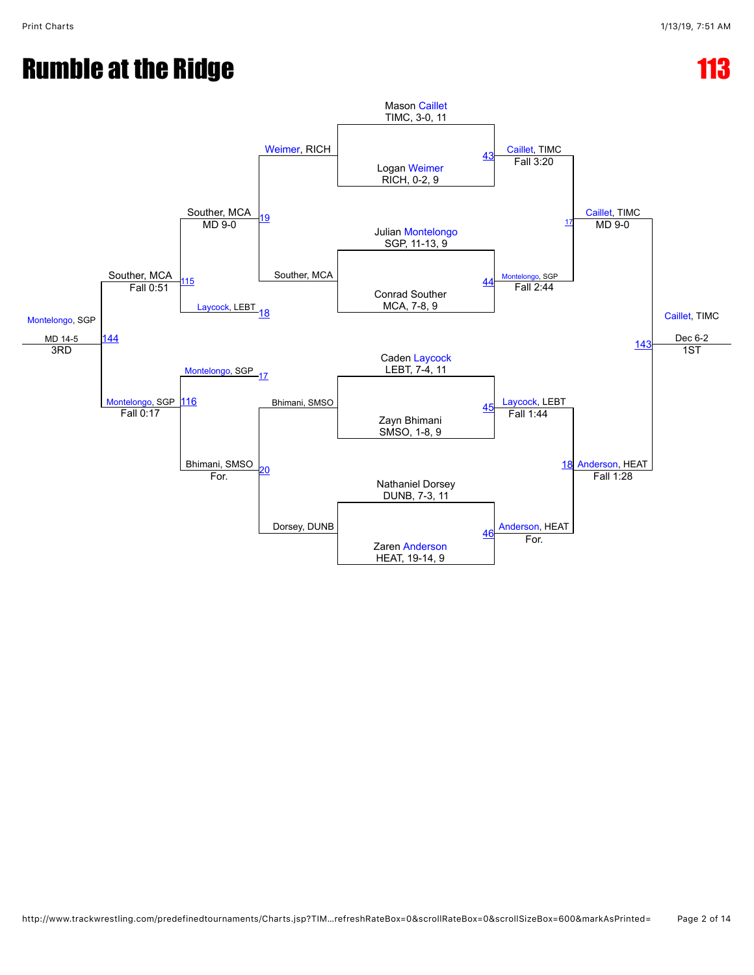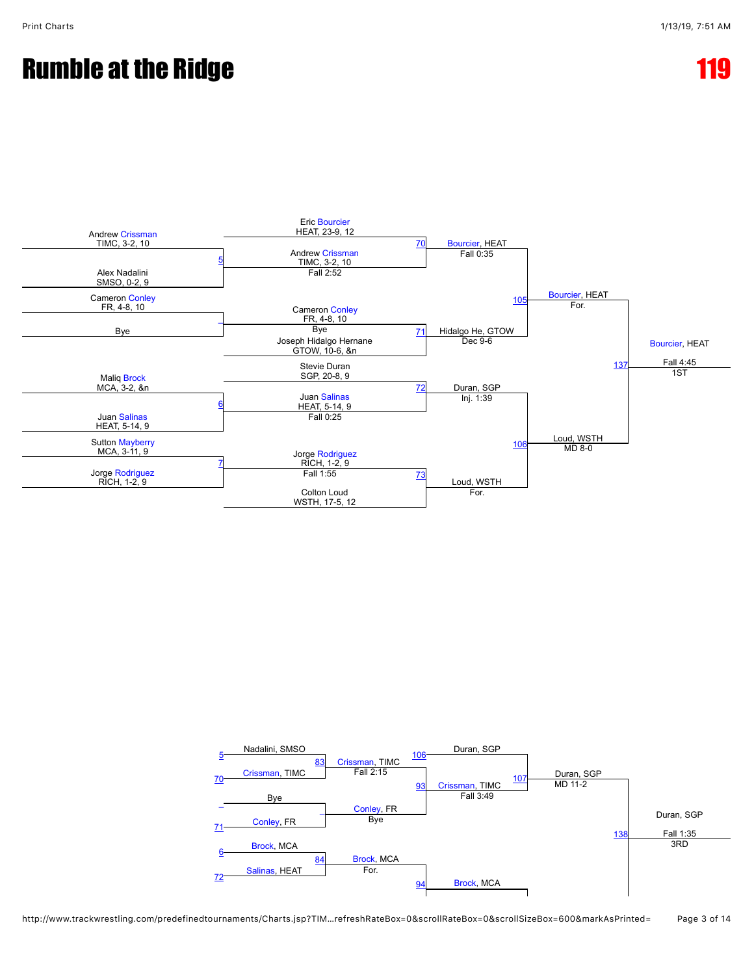

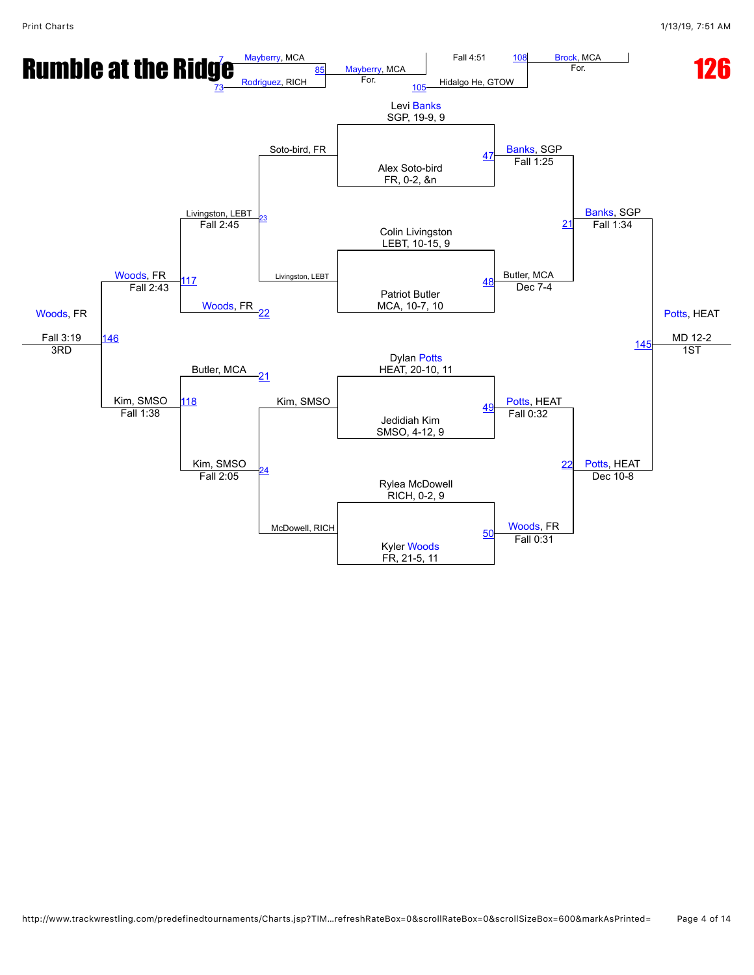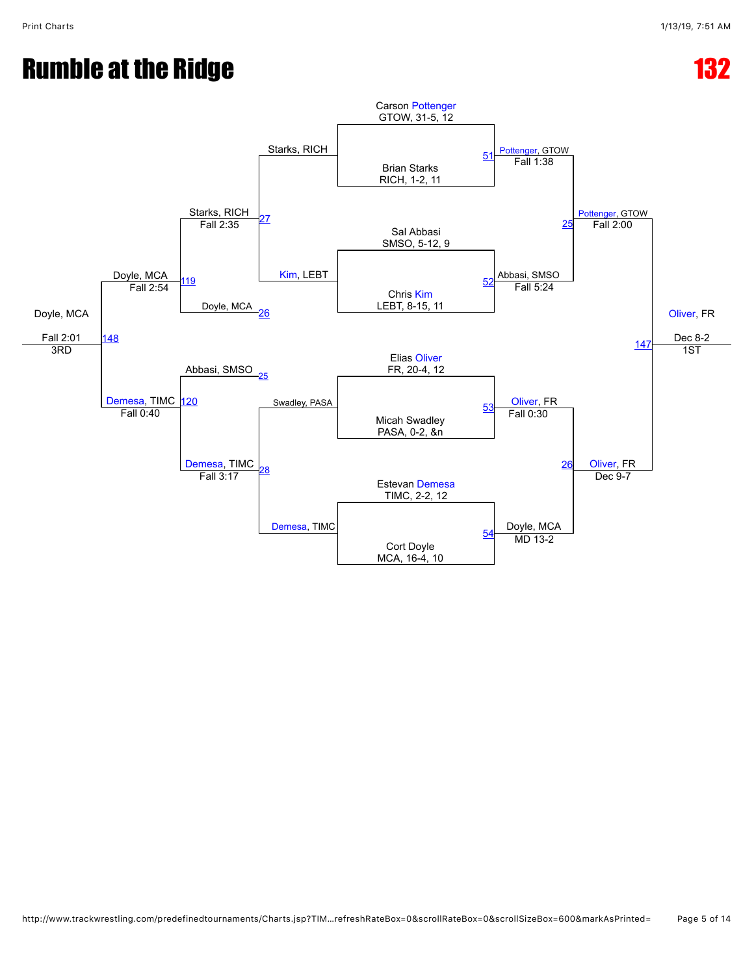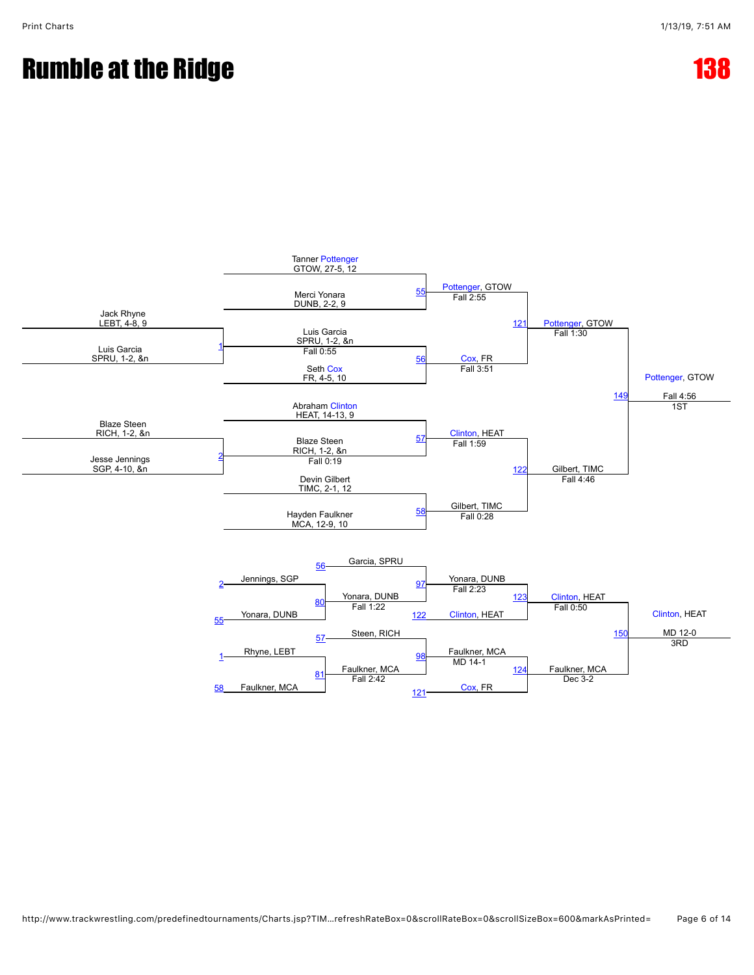

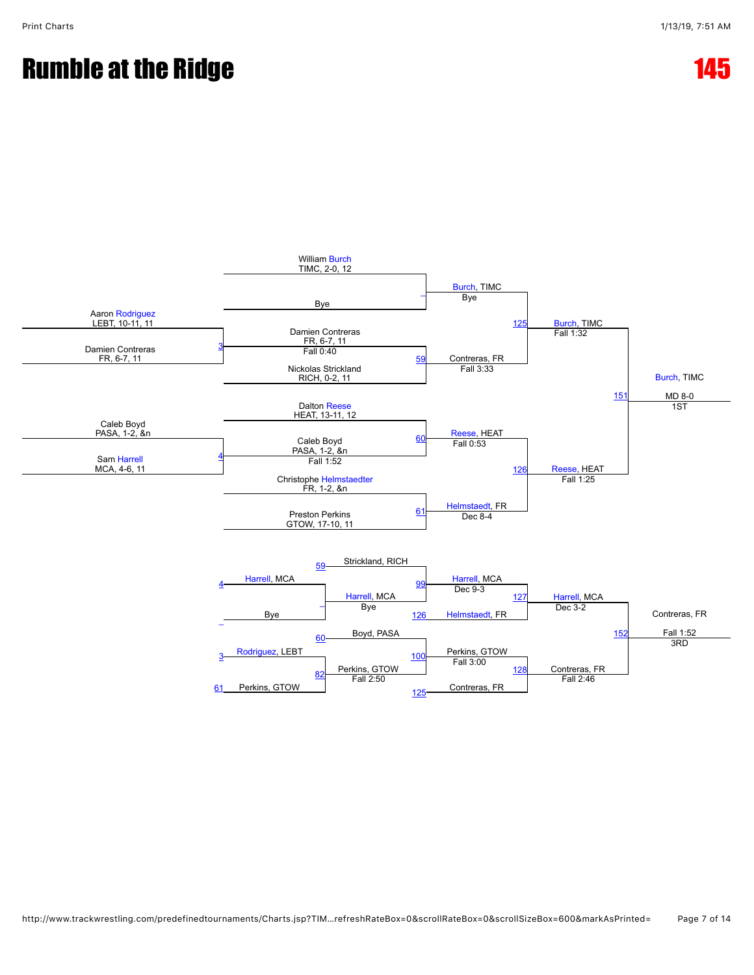

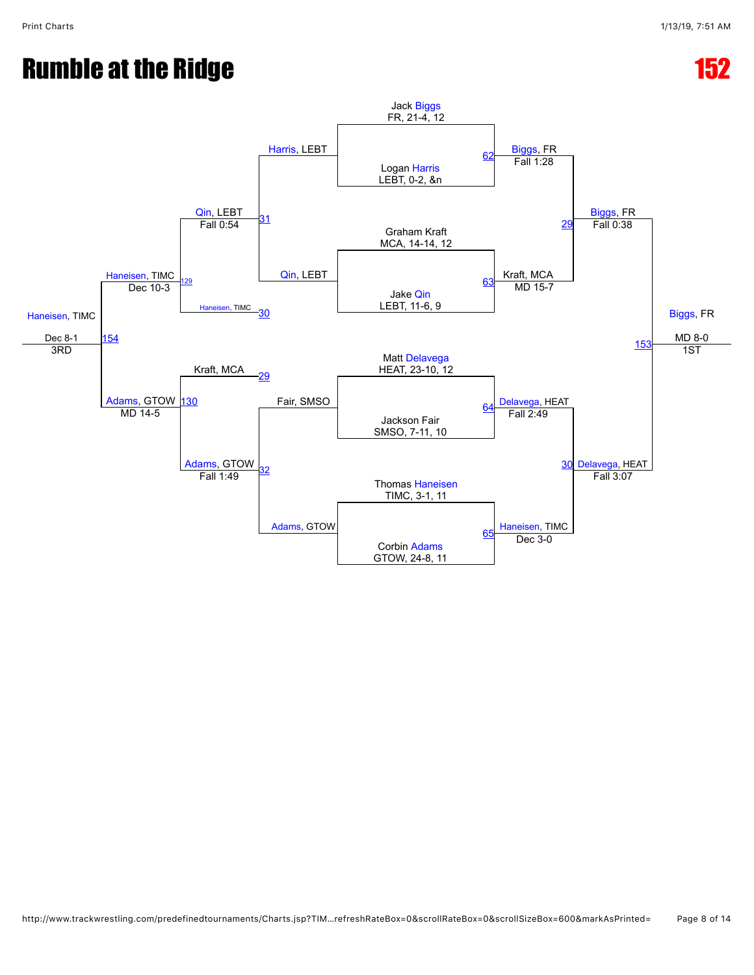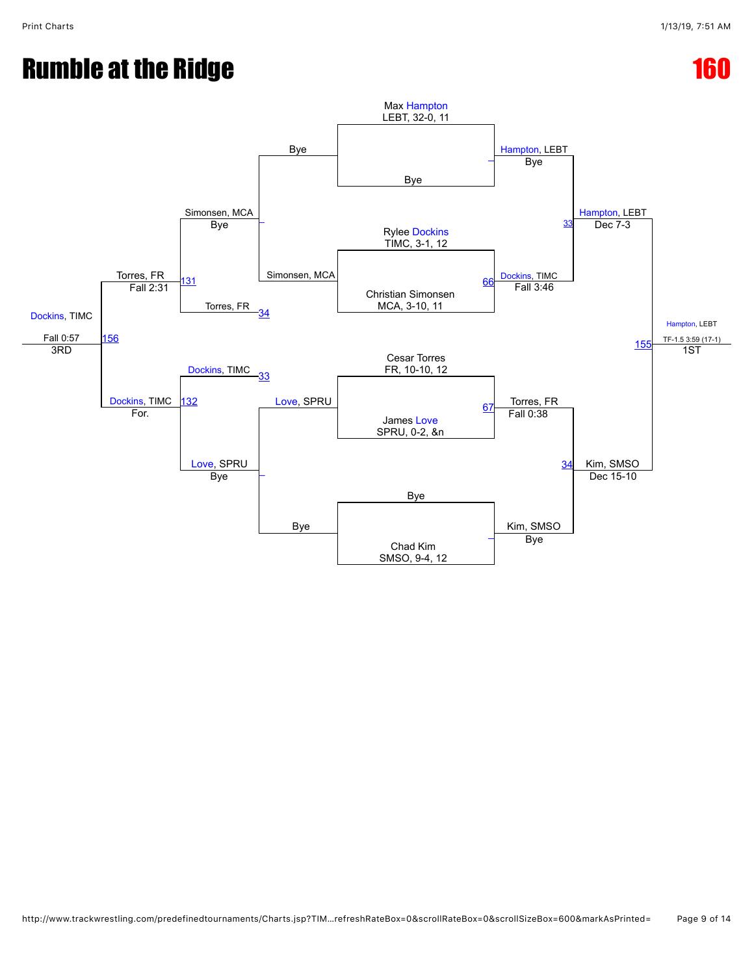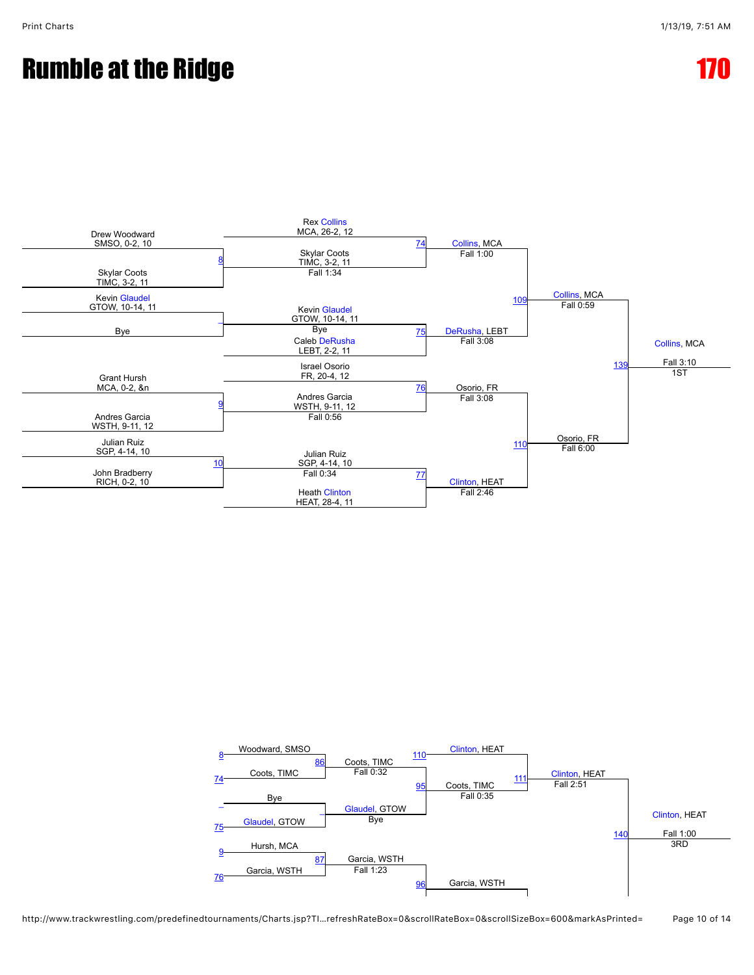



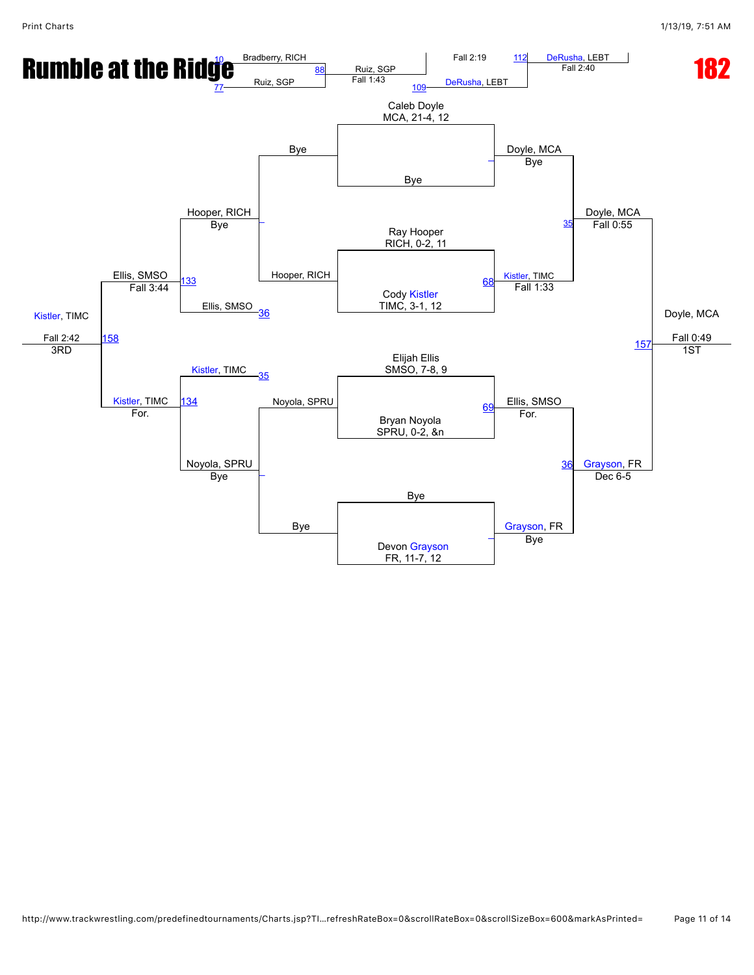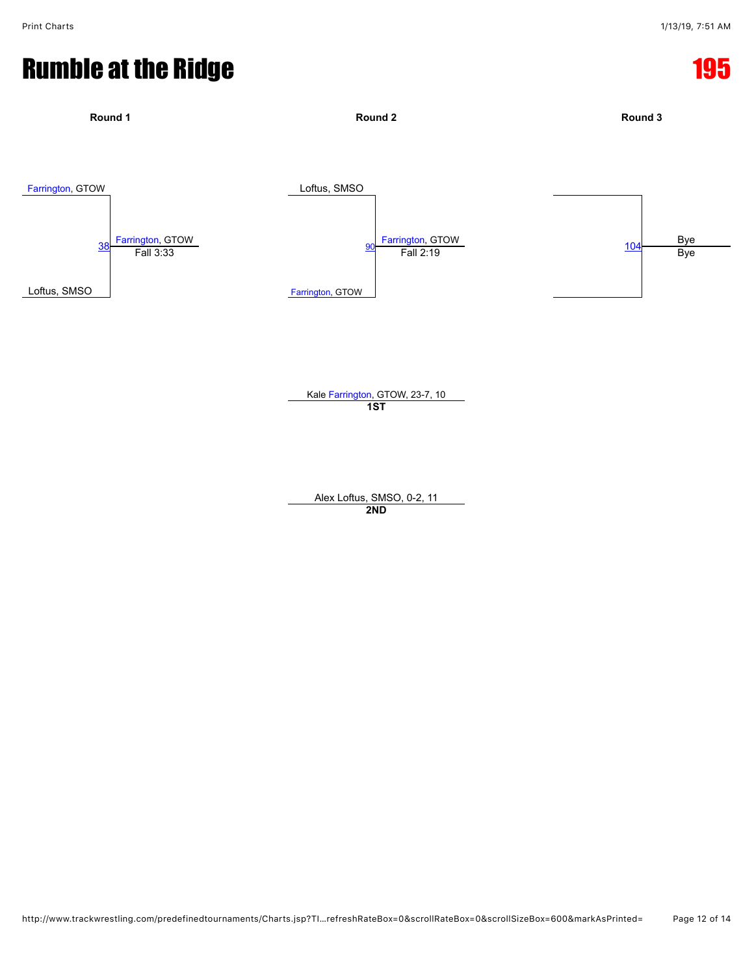

**1ST**

Alex Loftus, SMSO, 0-2, 11 **2ND**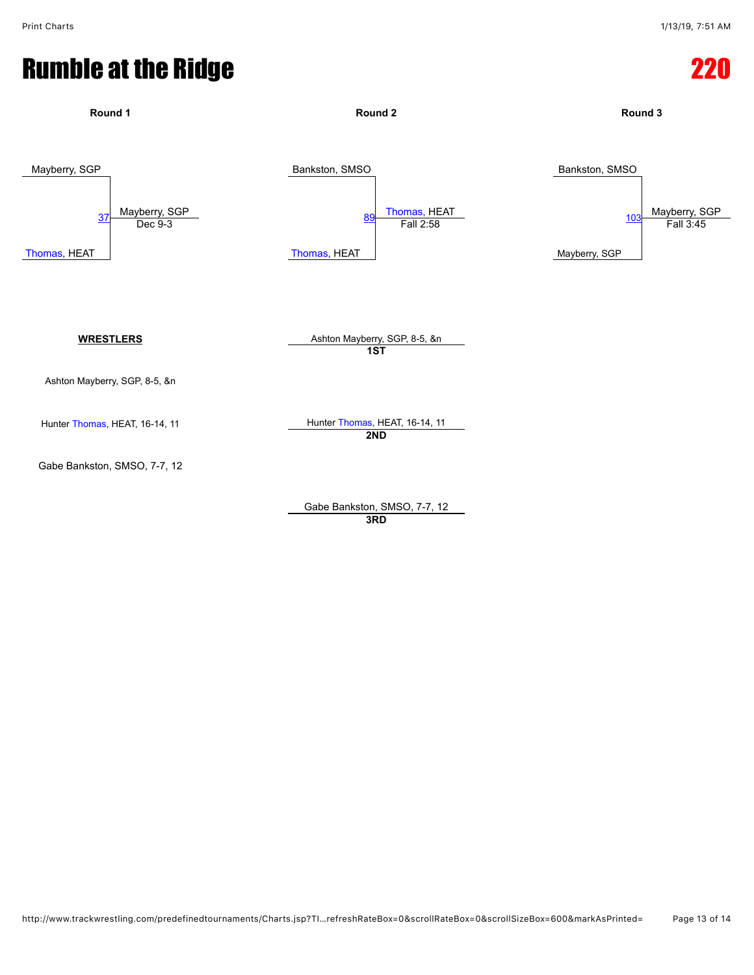